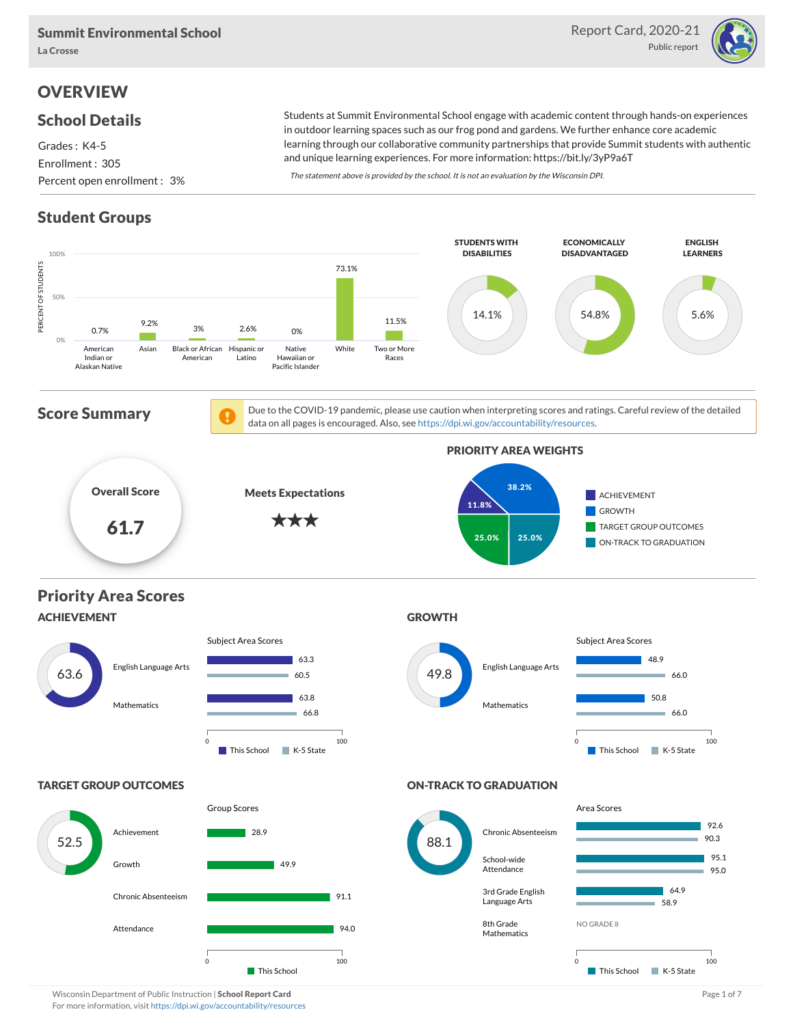

## **OVERVIEW**

### School Details

Grades : K4-5 Enrollment : 305 Percent open enrollment : 3%

Students at Summit Environmental School engage with academic content through hands-on experiences in outdoor learning spaces such as our frog pond and gardens. We further enhance core academic learning through our collaborative community partnerships that provide Summit students with authentic and unique learning experiences. For more information: https://bit.ly/3yP9a6T

The statement above is provided by the school. It is not an evaluation by the Wisconsin DPI.

## Student Groups

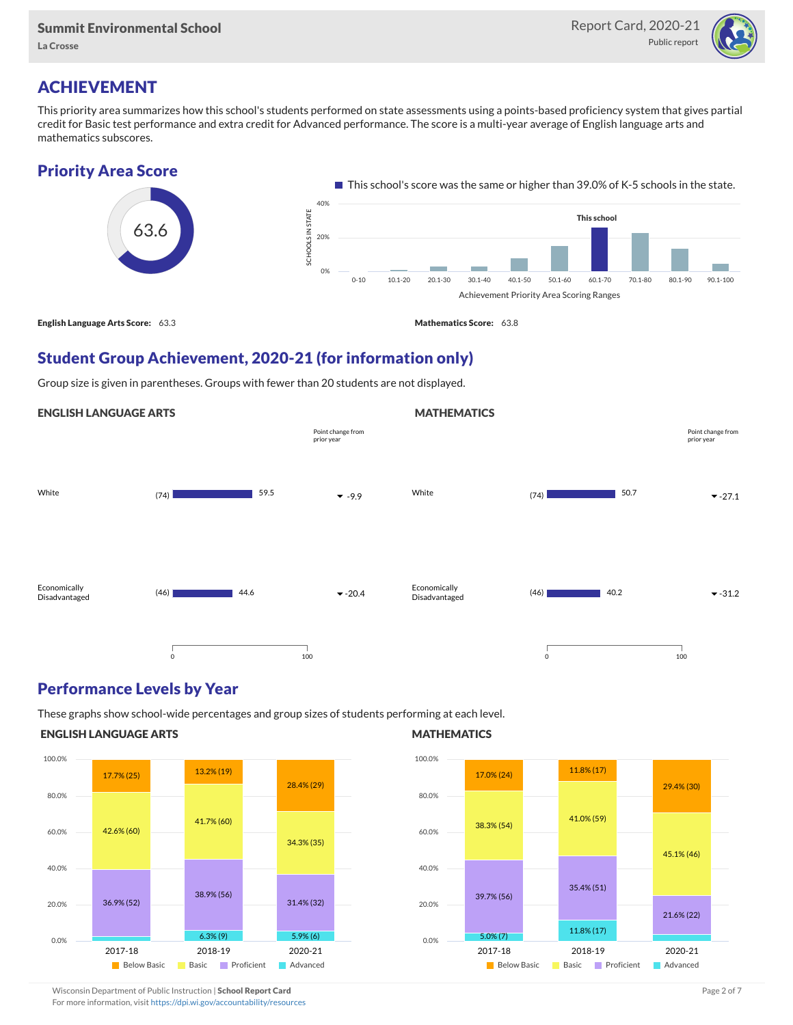

### ACHIEVEMENT

This priority area summarizes how this school's students performed on state assessments using a points-based proficiency system that gives partial credit for Basic test performance and extra credit for Advanced performance. The score is a multi-year average of English language arts and mathematics subscores.



### Student Group Achievement, 2020-21 (for information only)

Group size is given in parentheses. Groups with fewer than 20 students are not displayed.

#### ENGLISH LANGUAGE ARTS



### Performance Levels by Year

These graphs show school-wide percentages and group sizes of students performing at each level.

#### ENGLISH LANGUAGE ARTS



#### **MATHEMATICS**

**MATHEMATICS** 



Wisconsin Department of Public Instruction | School Report Card Page 2 of 7 and 2008 and 2009 and 2 of 7 and 2 of 7

For more information, visit <https://dpi.wi.gov/accountability/resources>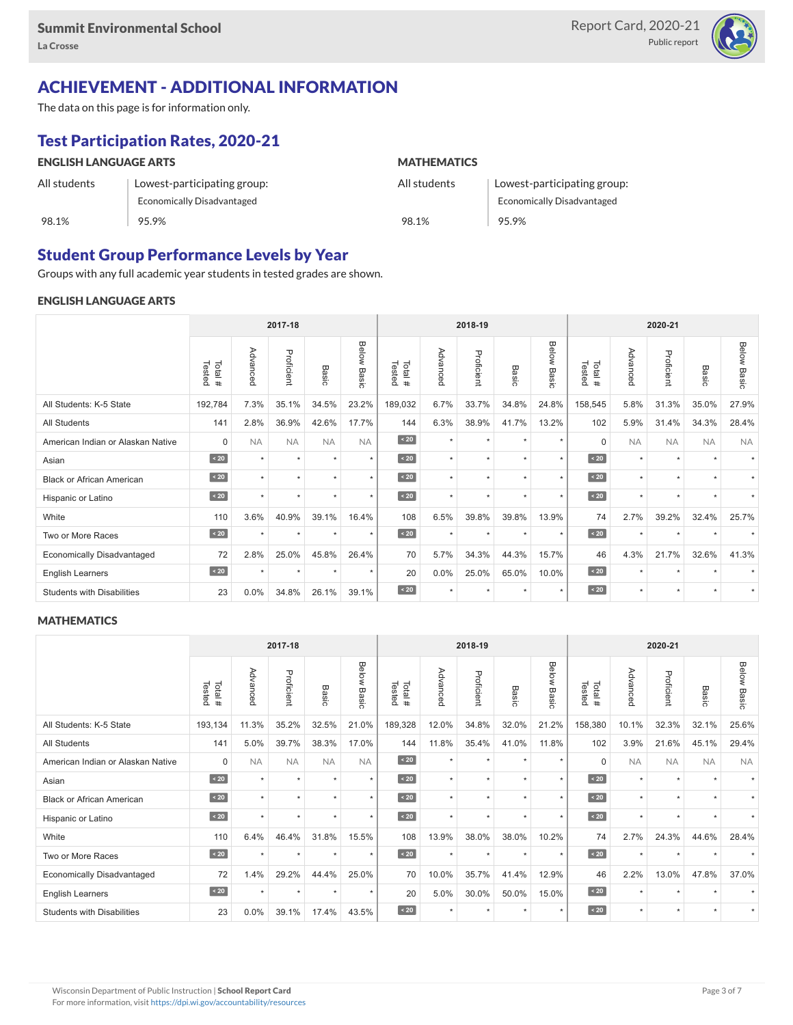

# ACHIEVEMENT - ADDITIONAL INFORMATION

The data on this page is for information only.

# Test Participation Rates, 2020-21

| <b>ENGLISH LANGUAGE ARTS</b> |                             | <b>MATHEMATICS</b> |                                   |  |  |  |  |
|------------------------------|-----------------------------|--------------------|-----------------------------------|--|--|--|--|
| All students                 | Lowest-participating group: | All students       | Lowest-participating group:       |  |  |  |  |
|                              | Economically Disadvantaged  |                    | <b>Economically Disadvantaged</b> |  |  |  |  |
| 98.1%                        | 95.9%                       | 98.1%              | 95.9%                             |  |  |  |  |

### Student Group Performance Levels by Year

Groups with any full academic year students in tested grades are shown.

#### ENGLISH LANGUAGE ARTS

|                                   | 2017-18          |           |            |           |                    | 2018-19          |          |            |           | 2020-21        |                  |           |            |                          |                    |
|-----------------------------------|------------------|-----------|------------|-----------|--------------------|------------------|----------|------------|-----------|----------------|------------------|-----------|------------|--------------------------|--------------------|
|                                   | Tested<br>Total# | Advanced  | Proficient | Basic     | <b>Below Basic</b> | Tested<br>Total# | Advanced | Proficient | Basic     | Below<br>Basic | Tested<br>Total# | Advanced  | Proficient | Basic                    | <b>Below Basic</b> |
| All Students: K-5 State           | 192,784          | 7.3%      | 35.1%      | 34.5%     | 23.2%              | 189,032          | 6.7%     | 33.7%      | 34.8%     | 24.8%          | 158,545          | 5.8%      | 31.3%      | 35.0%                    | 27.9%              |
| All Students                      | 141              | 2.8%      | 36.9%      | 42.6%     | 17.7%              | 144              | 6.3%     | 38.9%      | 41.7%     | 13.2%          | 102              | 5.9%      | 31.4%      | 34.3%                    | 28.4%              |
| American Indian or Alaskan Native | $\mathbf 0$      | <b>NA</b> | <b>NA</b>  | <b>NA</b> | <b>NA</b>          | $\angle 20$      | $\star$  | $\star$    | $\ddot{}$ | $\star$        | $\Omega$         | <b>NA</b> | <b>NA</b>  | <b>NA</b>                | <b>NA</b>          |
| Asian                             | $\sim 20$        | $\star$   | $\star$    | ٠         | $\star$            | $\sim 20$        | $\star$  | $\star$    | $\star$   | $\star$        | $\sim 20$        | $\star$   | $\star$    | $\overline{\phantom{a}}$ |                    |
| <b>Black or African American</b>  | $\sim 20$        | $\star$   | $\star$    | $\star$   | $\star$            | $\sim 20$        | $\star$  | $\star$    |           | $\star$        | $\sim 20$        | $\star$   | $\star$    |                          |                    |
| Hispanic or Latino                | $\angle 20$      | ٠         | $\star$    | $\star$   | $\star$            | $\angle 20$      | $\star$  | $\star$    | $\star$   | $\star$        | $\angle 20$      | $\star$   | $\star$    | $\ddot{\phantom{1}}$     |                    |
| White                             | 110              | 3.6%      | 40.9%      | 39.1%     | 16.4%              | 108              | 6.5%     | 39.8%      | 39.8%     | 13.9%          | 74               | 2.7%      | 39.2%      | 32.4%                    | 25.7%              |
| Two or More Races                 | $\sim 20$        |           | ٠          | ٠         | $\star$            | $\sim 20$        | $\star$  | $\star$    | $\ddot{}$ | ٠              | $\sim 20$        | $\star$   | $\star$    |                          |                    |
| <b>Economically Disadvantaged</b> | 72               | 2.8%      | 25.0%      | 45.8%     | 26.4%              | 70               | 5.7%     | 34.3%      | 44.3%     | 15.7%          | 46               | 4.3%      | 21.7%      | 32.6%                    | 41.3%              |
| <b>English Learners</b>           | $\sim 20$        | $\star$   | $\star$    | $\star$   | $\star$            | 20               | 0.0%     | 25.0%      | 65.0%     | 10.0%          | $\sim 20$        | $\star$   | $\star$    | $\ddot{}$                |                    |
| <b>Students with Disabilities</b> | 23               | $0.0\%$   | 34.8%      | 26.1%     | 39.1%              | $\sim 20$        | $\star$  | $\star$    | $\star$   | $\star$        | $\sim 20$        | $\star$   | $\star$    | $\star$                  | $\star$            |

#### **MATHEMATICS**

|                                   | 2017-18          |           |            |           |                |                  | 2018-19  |            |           |                | 2020-21          |           |            |           |                |
|-----------------------------------|------------------|-----------|------------|-----------|----------------|------------------|----------|------------|-----------|----------------|------------------|-----------|------------|-----------|----------------|
|                                   | Tested<br>Total# | Advanced  | Proficient | Basic     | Below<br>Basic | Tested<br>Total# | Advanced | Proficient | Basic     | Below<br>Basic | Tested<br>Total# | Advanced  | Proficient | Basic     | Below<br>Basic |
| All Students: K-5 State           | 193,134          | 11.3%     | 35.2%      | 32.5%     | 21.0%          | 189,328          | 12.0%    | 34.8%      | 32.0%     | 21.2%          | 158,380          | 10.1%     | 32.3%      | 32.1%     | 25.6%          |
| <b>All Students</b>               | 141              | 5.0%      | 39.7%      | 38.3%     | 17.0%          | 144              | 11.8%    | 35.4%      | 41.0%     | 11.8%          | 102              | 3.9%      | 21.6%      | 45.1%     | 29.4%          |
| American Indian or Alaskan Native | $\mathbf 0$      | <b>NA</b> | <b>NA</b>  | <b>NA</b> | <b>NA</b>      | $\angle 20$      | $\star$  | $\star$    | $\ddot{}$ | $\star$        | $\Omega$         | <b>NA</b> | <b>NA</b>  | <b>NA</b> | <b>NA</b>      |
| Asian                             | $\sim 20$        | $\star$   | ٠          | ÷         | $\star$        | $\sim 20$        | $\star$  | $\star$    | $\ddot{}$ | $\star$        | $\sim 20$        | $\star$   | $\star$    |           |                |
| <b>Black or African American</b>  | $\leq 20$        |           | $\star$    | ٠         | $\star$        | $\sim 20$        | $\star$  | $\star$    |           | $\star$        | $\angle 20$      | $\star$   | $\star$    |           |                |
| Hispanic or Latino                | $\angle 20$      |           | $\star$    | ٠         | $\star$        | $\angle 20$      | $\star$  | $\star$    |           | $\star$        | $\angle 20$      | $\star$   | $\star$    |           |                |
| White                             | 110              | 6.4%      | 46.4%      | 31.8%     | 15.5%          | 108              | 13.9%    | 38.0%      | 38.0%     | 10.2%          | 74               | 2.7%      | 24.3%      | 44.6%     | 28.4%          |
| Two or More Races                 | $\sim 20$        | $\ddot{}$ | $\star$    | $\star$   | $\star$        | $\sim 20$        | $\star$  | $\star$    | $\star$   | $\star$        | $\sim 20$        | $\star$   | $\star$    |           |                |
| <b>Economically Disadvantaged</b> | 72               | 1.4%      | 29.2%      | 44.4%     | 25.0%          | 70               | 10.0%    | 35.7%      | 41.4%     | 12.9%          | 46               | 2.2%      | 13.0%      | 47.8%     | 37.0%          |
| English Learners                  | $\sim 20$        | $\star$   | $\star$    | $\star$   | $\star$        | 20               | 5.0%     | 30.0%      | 50.0%     | 15.0%          | $\angle 20$      | $\star$   | $\star$    |           |                |
| <b>Students with Disabilities</b> | 23               | 0.0%      | 39.1%      | 17.4%     | 43.5%          | $\sim 20$        | $\star$  | $\star$    |           | $\star$        | $\sim 20$        | $\star$   | $\star$    | $\star$   |                |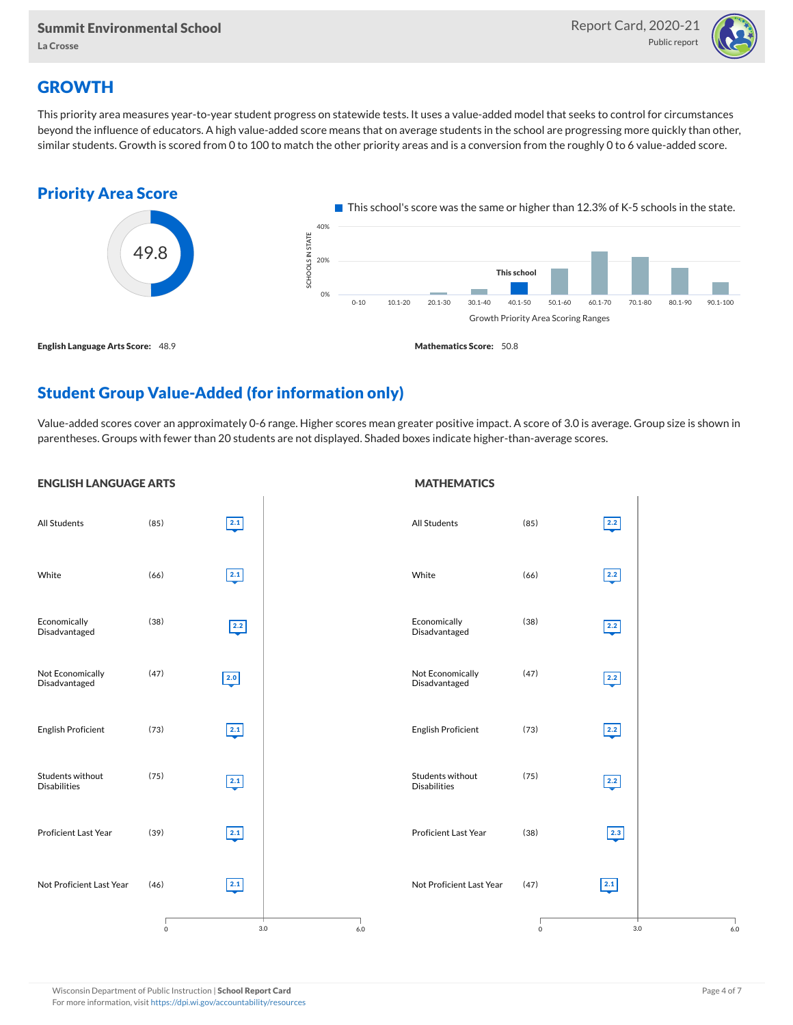

### **GROWTH**

This priority area measures year-to-year student progress on statewide tests. It uses a value-added model that seeks to control for circumstances beyond the influence of educators. A high value-added score means that on average students in the school are progressing more quickly than other, similar students. Growth is scored from 0 to 100 to match the other priority areas and is a conversion from the roughly 0 to 6 value-added score.



### Student Group Value-Added (for information only)

Value-added scores cover an approximately 0-6 range. Higher scores mean greater positive impact. A score of 3.0 is average. Group size is shown in parentheses. Groups with fewer than 20 students are not displayed. Shaded boxes indicate higher-than-average scores.

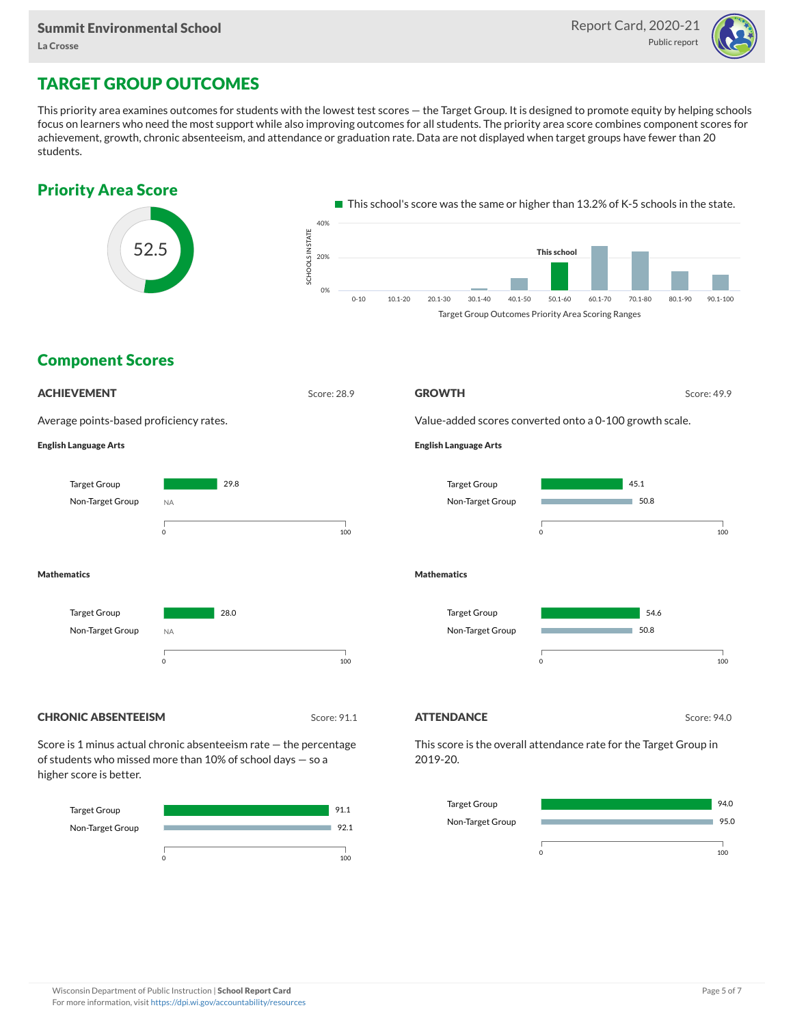

### TARGET GROUP OUTCOMES

This priority area examines outcomes for students with the lowest test scores — the Target Group. It is designed to promote equity by helping schools focus on learners who need the most support while also improving outcomes for all students. The priority area score combines component scores for achievement, growth, chronic absenteeism, and attendance or graduation rate. Data are not displayed when target groups have fewer than 20 students.





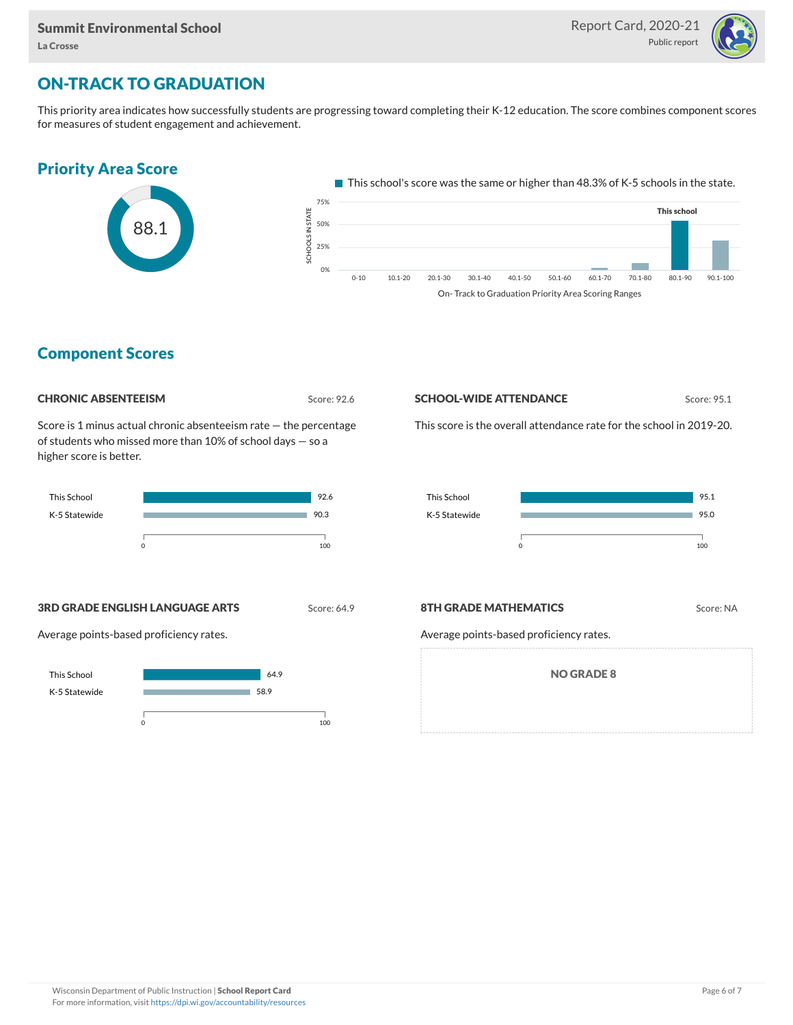

### ON-TRACK TO GRADUATION

This priority area indicates how successfully students are progressing toward completing their K-12 education. The score combines component scores for measures of student engagement and achievement.



On- Track to Graduation Priority Area Scoring Ranges

### Component Scores

Score: 92.6

Score is 1 minus actual chronic absenteeism rate — the percentage of students who missed more than 10% of school days — so a higher score is better.



#### **SCHOOL-WIDE ATTENDANCE** Score: 95.1

This score is the overall attendance rate for the school in 2019-20.



**3RD GRADE ENGLISH LANGUAGE ARTS** Score: 64.9

Average points-based proficiency rates.

#### **8TH GRADE MATHEMATICS** Score: NA

Average points-based proficiency rates.

NO GRADE 8

This School K-5 Statewide 64.9 58.9  $\sim$  100